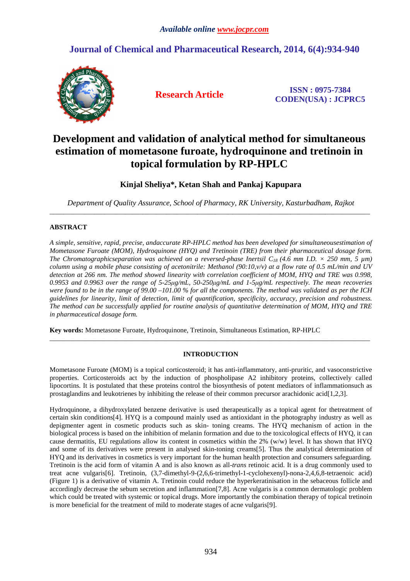# **Journal of Chemical and Pharmaceutical Research, 2014, 6(4):934-940**



**Research Article ISSN : 0975-7384 CODEN(USA) : JCPRC5**

# **Development and validation of analytical method for simultaneous estimation of mometasone furoate, hydroquinone and tretinoin in topical formulation by RP-HPLC**

## **Kinjal Sheliya\*, Ketan Shah and Pankaj Kapupara**

*Department of Quality Assurance, School of Pharmacy, RK University, Kasturbadham, Rajkot*  \_\_\_\_\_\_\_\_\_\_\_\_\_\_\_\_\_\_\_\_\_\_\_\_\_\_\_\_\_\_\_\_\_\_\_\_\_\_\_\_\_\_\_\_\_\_\_\_\_\_\_\_\_\_\_\_\_\_\_\_\_\_\_\_\_\_\_\_\_\_\_\_\_\_\_\_\_\_\_\_\_\_\_\_\_\_\_\_\_\_\_\_\_

## **ABSTRACT**

*A simple, sensitive, rapid, precise, andaccurate RP-HPLC method has been developed for simultaneousestimation of Mometasone Furoate (MOM), Hydroquinone (HYQ) and Tretinoin (TRE) from their pharmaceutical dosage form. The Chromatographicseparation was achieved on a reversed-phase Inertsil C<sub>18</sub> (4.6 mm I.D.*  $\times$  *250 mm, 5 µm) column using a mobile phase consisting of acetonitrile: Methanol (90:10,v/v) at a flow rate of 0.5 mL/min and UV detection at 266 nm. The method showed linearity with correlation coefficient of MOM, HYQ and TRE was 0.998, 0.9953 and 0.9963 over the range of 5-25µg/mL, 50-250µg/mL and 1-5µg/mL respectively. The mean recoveries were found to be in the range of 99.00 –101.00 % for all the components. The method was validated as per the ICH guidelines for linearity, limit of detection, limit of quantification, specificity, accuracy, precision and robustness. The method can be successfully applied for routine analysis of quantitative determination of MOM, HYQ and TRE in pharmaceutical dosage form.* 

**Key words:** Mometasone Furoate, Hydroquinone, Tretinoin, Simultaneous Estimation, RP-HPLC

## **INTRODUCTION**

\_\_\_\_\_\_\_\_\_\_\_\_\_\_\_\_\_\_\_\_\_\_\_\_\_\_\_\_\_\_\_\_\_\_\_\_\_\_\_\_\_\_\_\_\_\_\_\_\_\_\_\_\_\_\_\_\_\_\_\_\_\_\_\_\_\_\_\_\_\_\_\_\_\_\_\_\_\_\_\_\_\_\_\_\_\_\_\_\_\_\_\_\_

Mometasone Furoate (MOM) is a topical corticosteroid; it has anti-inflammatory, anti-pruritic, and vasoconstrictive properties. Corticosteroids act by the induction of phospholipase A2 inhibitory proteins, collectively called lipocortins. It is postulated that these proteins control the biosynthesis of potent mediators of inflammationsuch as prostaglandins and leukotrienes by inhibiting the release of their common precursor arachidonic acid[1,2,3].

Hydroquinone, a dihydroxylated benzene derivative is used therapeutically as a topical agent for thetreatment of certain skin conditions[4]. HYQ is a compound mainly used as antioxidant in the photography industry as well as depigmenter agent in cosmetic products such as skin- toning creams. The HYQ mechanism of action in the biological process is based on the inhibition of melanin formation and due to the toxicological effects of HYQ, it can cause dermatitis, EU regulations allow its content in cosmetics within the  $2\%$  (w/w) level. It has shown that HYQ and some of its derivatives were present in analysed skin-toning creams[5]. Thus the analytical determination of HYQ and its derivatives in cosmetics is very important for the human health protection and consumers safeguarding. Tretinoin is the acid form of vitamin A and is also known as all-*trans* retinoic acid. It is a drug commonly used to treat acne vulgaris[6]. Tretinoin, (3,7-dimethyl-9-(2,6,6-trimethyl-1-cyclohexenyl)-nona-2,4,6,8-tetraenoic acid) (Figure 1) is a derivative of vitamin A. Tretinoin could reduce the hyperkeratinisation in the sebaceous follicle and accordingly decrease the sebum secretion and inflammation[7,8]. Acne vulgaris is a common dermatologic problem which could be treated with systemic or topical drugs. More importantly the combination therapy of topical tretinoin is more beneficial for the treatment of mild to moderate stages of acne vulgaris[9].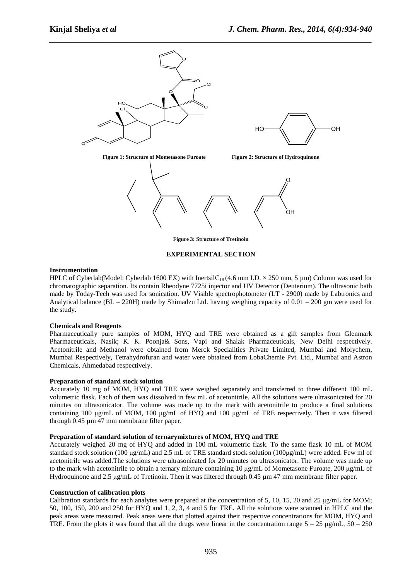

#### **EXPERIMENTAL SECTION**

### **Instrumentation**

HPLC of Cyberlab(Model: Cyberlab 1600 EX) with InertsilC<sub>18</sub> (4.6 mm I.D.  $\times$  250 mm, 5 µm) Column was used for chromatographic separation. Its contain Rheodyne 7725i injector and UV Detector (Deuterium). The ultrasonic bath made by Today-Tech was used for sonication. UV Visible spectrophotometer (LT - 2900) made by Labtronics and Analytical balance (BL – 220H) made by Shimadzu Ltd. having weighing capacity of 0.01 – 200 gm were used for the study.

### **Chemicals and Reagents**

Pharmaceutically pure samples of MOM, HYQ and TRE were obtained as a gift samples from Glenmark Pharmaceuticals, Nasik; K. K. Poonja& Sons, Vapi and Shalak Pharmaceuticals, New Delhi respectively. Acetonitrile and Methanol were obtained from Merck Specialities Private Limited, Mumbai and Molychem, Mumbai Respectively, Tetrahydrofuran and water were obtained from LobaChemie Pvt. Ltd., Mumbai and Astron Chemicals, Ahmedabad respectively.

### **Preparation of standard stock solution**

Accurately 10 mg of MOM, HYQ and TRE were weighed separately and transferred to three different 100 mL volumetric flask. Each of them was dissolved in few mL of acetonitrile. All the solutions were ultrasonicated for 20 minutes on ultrasonicator. The volume was made up to the mark with acetonitrile to produce a final solutions containing 100 µg/mL of MOM, 100 µg/mL of HYQ and 100 µg/mL of TRE respectively. Then it was filtered through 0.45 µm 47 mm membrane filter paper.

### **Preparation of standard solution of ternarymixtures of MOM, HYQ and TRE**

Accurately weighed 20 mg of HYQ and added in 100 mL volumetric flask. To the same flask 10 mL of MOM standard stock solution (100  $\mu$ g/mL) and 2.5 mL of TRE standard stock solution (100 $\mu$ g/mL) were added. Few ml of acetonitrile was added.The solutions were ultrasonicated for 20 minutes on ultrasonicator. The volume was made up to the mark with acetonitrile to obtain a ternary mixture containing 10 ug/mL of Mometasone Furoate, 200 ug/mL of Hydroquinone and  $2.5 \mu g/mL$  of Tretinoin. Then it was filtered through 0.45  $\mu$ m 47 mm membrane filter paper.

### **Construction of calibration plots**

Calibration standards for each analytes were prepared at the concentration of 5, 10, 15, 20 and 25  $\mu$ g/mL for MOM; 50, 100, 150, 200 and 250 for HYQ and 1, 2, 3, 4 and 5 for TRE. All the solutions were scanned in HPLC and the peak areas were measured. Peak areas were that plotted against their respective concentrations for MOM, HYQ and TRE. From the plots it was found that all the drugs were linear in the concentration range  $5 - 25 \mu g/mL$ ,  $50 - 250$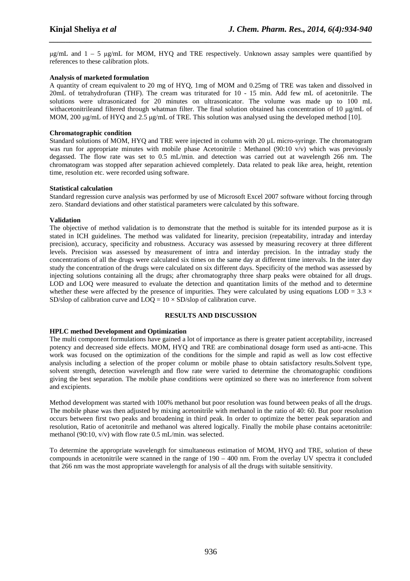$\mu$ g/mL and  $1 - 5 \mu$ g/mL for MOM, HYQ and TRE respectively. Unknown assay samples were quantified by references to these calibration plots.

*\_\_\_\_\_\_\_\_\_\_\_\_\_\_\_\_\_\_\_\_\_\_\_\_\_\_\_\_\_\_\_\_\_\_\_\_\_\_\_\_\_\_\_\_\_\_\_\_\_\_\_\_\_\_\_\_\_\_\_\_\_\_\_\_\_\_\_\_\_\_\_\_\_\_\_\_\_\_*

## **Analysis of marketed formulation**

A quantity of cream equivalent to 20 mg of HYQ, 1mg of MOM and 0.25mg of TRE was taken and dissolved in 20mL of tetrahydrofuran (THF). The cream was triturated for 10 - 15 min. Add few mL of acetonitrile. The solutions were ultrasonicated for 20 minutes on ultrasonicator. The volume was made up to 100 mL withacetonitrileand filtered through whatman filter. The final solution obtained has concentration of 10  $\mu$ g/mL of MOM, 200  $\mu$ g/mL of HYQ and 2.5  $\mu$ g/mL of TRE. This solution was analysed using the developed method [10].

### **Chromatographic condition**

Standard solutions of MOM, HYQ and TRE were injected in column with 20 µL micro-syringe. The chromatogram was run for appropriate minutes with mobile phase Acetonitrile : Methanol (90:10 v/v) which was previously degassed. The flow rate was set to 0.5 mL/min. and detection was carried out at wavelength 266 nm. The chromatogram was stopped after separation achieved completely. Data related to peak like area, height, retention time, resolution etc. were recorded using software.

### **Statistical calculation**

Standard regression curve analysis was performed by use of Microsoft Excel 2007 software without forcing through zero. Standard deviations and other statistical parameters were calculated by this software.

## **Validation**

The objective of method validation is to demonstrate that the method is suitable for its intended purpose as it is stated in ICH guidelines. The method was validated for linearity, precision (repeatability, intraday and interday precision), accuracy, specificity and robustness. Accuracy was assessed by measuring recovery at three different levels. Precision was assessed by measurement of intra and interday precision. In the intraday study the concentrations of all the drugs were calculated six times on the same day at different time intervals. In the inter day study the concentration of the drugs were calculated on six different days. Specificity of the method was assessed by injecting solutions containing all the drugs; after chromatography three sharp peaks were obtained for all drugs. LOD and LOO were measured to evaluate the detection and quantitation limits of the method and to determine whether these were affected by the presence of impurities. They were calculated by using equations LOD =  $3.3 \times$ SD/slop of calibration curve and  $LOQ = 10 \times SD/s$ lop of calibration curve.

### **RESULTS AND DISCUSSION**

## **HPLC method Development and Optimization**

The multi component formulations have gained a lot of importance as there is greater patient acceptability, increased potency and decreased side effects. MOM, HYQ and TRE are combinational dosage form used as anti-acne. This work was focused on the optimization of the conditions for the simple and rapid as well as low cost effective analysis including a selection of the proper column or mobile phase to obtain satisfactory results.Solvent type, solvent strength, detection wavelength and flow rate were varied to determine the chromatographic conditions giving the best separation. The mobile phase conditions were optimized so there was no interference from solvent and excipients.

Method development was started with 100% methanol but poor resolution was found between peaks of all the drugs. The mobile phase was then adjusted by mixing acetonitrile with methanol in the ratio of 40: 60. But poor resolution occurs between first two peaks and broadening in third peak. In order to optimize the better peak separation and resolution, Ratio of acetonitrile and methanol was altered logically. Finally the mobile phase contains acetonitrile: methanol (90:10, v/v) with flow rate 0.5 mL/min. was selected.

To determine the appropriate wavelength for simultaneous estimation of MOM, HYQ and TRE, solution of these compounds in acetonitrile were scanned in the range of 190 – 400 nm. From the overlay UV spectra it concluded that 266 nm was the most appropriate wavelength for analysis of all the drugs with suitable sensitivity.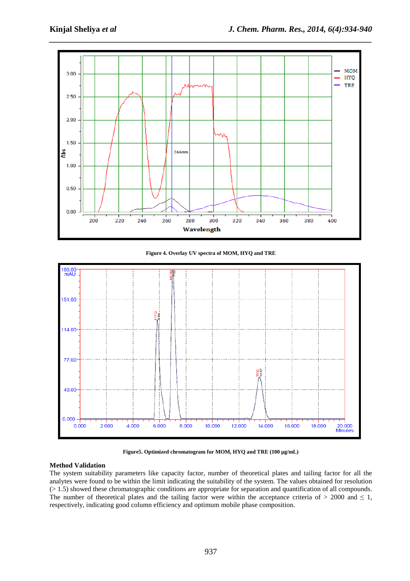

**Figure 4. Overlay UV spectra of MOM, HYQ and TRE** 



**Figure5. Optimized chromatogram for MOM, HYQ and TRE (100 µg/mL)** 

## **Method Validation**

The system suitability parameters like capacity factor, number of theoretical plates and tailing factor for all the analytes were found to be within the limit indicating the suitability of the system. The values obtained for resolution (> 1.5) showed these chromatographic conditions are appropriate for separation and quantification of all compounds. The number of theoretical plates and the tailing factor were within the acceptance criteria of  $> 2000$  and  $\leq 1$ , respectively, indicating good column efficiency and optimum mobile phase composition.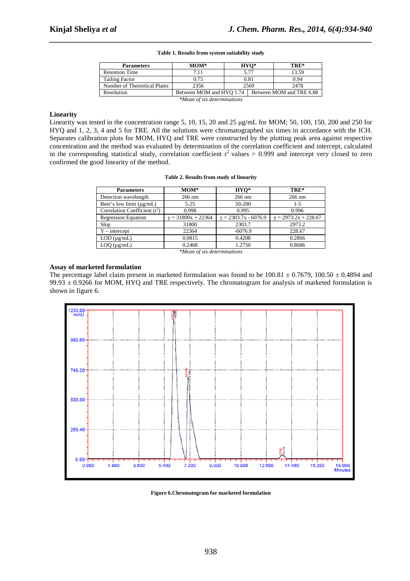| <b>Parameters</b>            | $MOM*$                   | $HYO*$ |                          | TRE*  |  |
|------------------------------|--------------------------|--------|--------------------------|-------|--|
| <b>Retention Time</b>        | 7.11                     | 5.77   |                          | 13.59 |  |
| <b>Tailing Factor</b>        | 0.75                     | 0.81   |                          | 0.94  |  |
| Number of Theoretical Plates | 2356                     | 2569   |                          | 2478  |  |
| Resolution                   | Between MOM and HYQ 1.74 |        | Between MOM and TRE 6.88 |       |  |
| *Mean of six determinations  |                          |        |                          |       |  |

#### **Table 1. Results from system suitability study**

*\_\_\_\_\_\_\_\_\_\_\_\_\_\_\_\_\_\_\_\_\_\_\_\_\_\_\_\_\_\_\_\_\_\_\_\_\_\_\_\_\_\_\_\_\_\_\_\_\_\_\_\_\_\_\_\_\_\_\_\_\_\_\_\_\_\_\_\_\_\_\_\_\_\_\_\_\_\_*

#### **Linearity**

Linearity was tested in the concentration range 5, 10, 15, 20 and 25 µg/mL for MOM; 50, 100, 150, 200 and 250 for HYQ and 1, 2, 3, 4 and 5 for TRE. All the solutions were chromatographed six times in accordance with the ICH. Separates calibration plots for MOM, HYQ and TRE were constructed by the plotting peak area against respective concentration and the method was evaluated by determination of the correlation coefficient and intercept, calculated in the corresponding statistical study, correlation coefficient  $r^2$  values > 0.999 and intercept very closed to zero confirmed the good linearity of the method.

#### **Table 2. Results from study of linearity**

|                    |                        | TRE*                   |  |
|--------------------|------------------------|------------------------|--|
| 266 nm             | $266$ nm               | $266$ nm               |  |
| $5 - 25$           | 50-200                 | $1 - 5$                |  |
| 0.998              | 0.995                  | 0.996                  |  |
| $= 31800x + 22364$ | $y = 2303.7x - 6076.9$ | $y = 2973.2x + 228.67$ |  |
| 31800              | 2303.7                 | 2973.2                 |  |
| 22364              | $-6076.9$              | 228.67                 |  |
| 0.0815             | 0.4208                 | 0.2866                 |  |
| 0.2468             | 1.2750                 | 0.8686                 |  |
|                    |                        | $\cdots$               |  |

*\*Mean of six determinations* 

### **Assay of marketed formulation**

The percentage label claim present in marketed formulation was found to be  $100.81 \pm 0.7679$ ,  $100.50 \pm 0.4894$  and 99.93  $\pm$  0.9266 for MOM, HYQ and TRE respectively. The chromatogram for analysis of marketed formulation is shown in figure 6.



**Figure 6.Chromatogram for marketed formulation**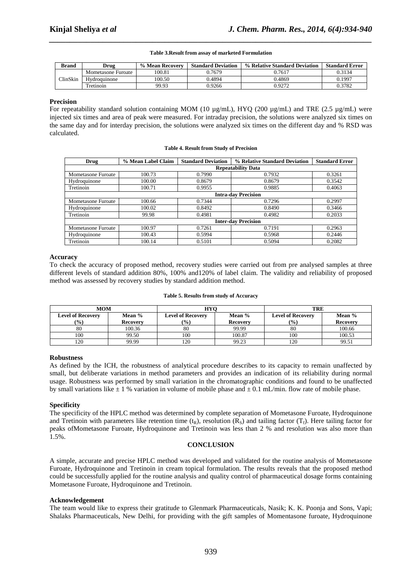## *\_\_\_\_\_\_\_\_\_\_\_\_\_\_\_\_\_\_\_\_\_\_\_\_\_\_\_\_\_\_\_\_\_\_\_\_\_\_\_\_\_\_\_\_\_\_\_\_\_\_\_\_\_\_\_\_\_\_\_\_\_\_\_\_\_\_\_\_\_\_\_\_\_\_\_\_\_\_* **Table 3.Result from assay of marketed Formulation**

| Brand           | Drug               | % Mean Recovery | <b>Standard Deviation</b> | % Relative Standard Deviation | <b>Standard Error</b> |
|-----------------|--------------------|-----------------|---------------------------|-------------------------------|-----------------------|
| <b>ClinSkin</b> | Mometasone Furoate | 100.81          | 0.7679                    | 0.7617                        | 0.3134                |
|                 | Hydroguinone       | 100.50          | 0.4894                    | 0.4869                        | 0.1997                |
|                 | Tretinoin          | 99.93           | 0.9266                    | 0.9272                        | 0.3782                |

#### **Precision**

For repeatability standard solution containing MOM (10 µg/mL), HYQ (200 µg/mL) and TRE (2.5 µg/mL) were injected six times and area of peak were measured. For intraday precision, the solutions were analyzed six times on the same day and for interday precision, the solutions were analyzed six times on the different day and % RSD was calculated.

#### **Table 4. Result from Study of Precision**

| Drug                       | % Mean Label Claim         | <b>Standard Deviation</b> | % Relative Standard Deviation | <b>Standard Error</b> |  |  |
|----------------------------|----------------------------|---------------------------|-------------------------------|-----------------------|--|--|
|                            | <b>Repeatability Data</b>  |                           |                               |                       |  |  |
| Mometasone Furoate         | 100.73                     | 0.7990                    | 0.7932                        | 0.3261                |  |  |
| Hydroquinone               | 100.00                     | 0.8679                    | 0.8679                        | 0.3542                |  |  |
| Tretinoin                  | 100.71                     | 0.9955                    | 0.9885                        | 0.4063                |  |  |
|                            | <b>Intra-day Precision</b> |                           |                               |                       |  |  |
| <b>Mometasone Furoate</b>  | 100.66                     | 0.7344                    | 0.7296                        | 0.2997                |  |  |
| Hydroquinone               | 100.02                     | 0.8492                    | 0.8490                        | 0.3466                |  |  |
| Tretinoin                  | 99.98                      | 0.4981                    | 0.4982                        | 0.2033                |  |  |
| <b>Inter-day Precision</b> |                            |                           |                               |                       |  |  |
| <b>Mometasone Furoate</b>  | 100.97                     | 0.7261                    | 0.7191                        | 0.2963                |  |  |
| Hydroquinone               | 100.43                     | 0.5994                    | 0.5968                        | 0.2446                |  |  |
| Tretinoin                  | 100.14                     | 0.5101                    | 0.5094                        | 0.2082                |  |  |

#### **Accuracy**

To check the accuracy of proposed method, recovery studies were carried out from pre analysed samples at three different levels of standard addition 80%, 100% and120% of label claim. The validity and reliability of proposed method was assessed by recovery studies by standard addition method.

| <b>MOM</b>               |                 | <b>HYC</b>                   |                 | <b>TRE</b>                   |                 |  |
|--------------------------|-----------------|------------------------------|-----------------|------------------------------|-----------------|--|
| <b>Level of Recovery</b> | Mean %          | <b>Level of Recovery</b>     | Mean %          | <b>Level of Recovery</b>     | Mean %          |  |
| $(\%)$                   | <b>Recovery</b> | $\left( \frac{0}{0} \right)$ | <b>Recovery</b> | $\left( \frac{0}{0} \right)$ | <b>Recovery</b> |  |
| 80                       | 100.36          | 80                           | 99.99           | 80                           | 100.66          |  |
| 100                      | 99.50           | 100                          | 100.87          | 100                          | 100.53          |  |
| 120                      | 99.99           | 120                          | 99.23           | 120                          | 99.51           |  |

#### **Table 5. Results from study of Accuracy**

#### **Robustness**

As defined by the ICH, the robustness of analytical procedure describes to its capacity to remain unaffected by small, but deliberate variations in method parameters and provides an indication of its reliability during normal usage. Robustness was performed by small variation in the chromatographic conditions and found to be unaffected by small variations like  $\pm 1$  % variation in volume of mobile phase and  $\pm 0.1$  mL/min. flow rate of mobile phase.

## **Specificity**

The specificity of the HPLC method was determined by complete separation of Mometasone Furoate, Hydroquinone and Tretinoin with parameters like retention time  $(t_R)$ , resolution  $(R_S)$  and tailing factor  $(T_f)$ . Here tailing factor for peaks ofMometasone Furoate, Hydroquinone and Tretinoin was less than 2 % and resolution was also more than 1.5%.

#### **CONCLUSION**

A simple, accurate and precise HPLC method was developed and validated for the routine analysis of Mometasone Furoate, Hydroquinone and Tretinoin in cream topical formulation. The results reveals that the proposed method could be successfully applied for the routine analysis and quality control of pharmaceutical dosage forms containing Mometasone Furoate, Hydroquinone and Tretinoin.

### **Acknowledgement**

The team would like to express their gratitude to Glenmark Pharmaceuticals, Nasik; K. K. Poonja and Sons, Vapi; Shalaks Pharmaceuticals, New Delhi, for providing with the gift samples of Momentasone furoate, Hydroquinone